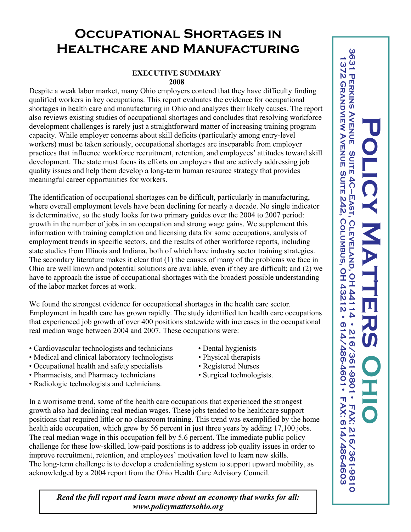## **Occupational Shortages in Healthcare and Manufacturing**

## **EXECUTIVE SUMMARY 2008**

Despite a weak labor market, many Ohio employers contend that they have difficulty finding qualified workers in key occupations. This report evaluates the evidence for occupational shortages in health care and manufacturing in Ohio and analyzes their likely causes. The report also reviews existing studies of occupational shortages and concludes that resolving workforce development challenges is rarely just a straightforward matter of increasing training program capacity. While employer concerns about skill deficits (particularly among entry-level workers) must be taken seriously, occupational shortages are inseparable from employer practices that influence workforce recruitment, retention, and employees' attitudes toward skill development. The state must focus its efforts on employers that are actively addressing job quality issues and help them develop a long-term human resource strategy that provides meaningful career opportunities for workers.

The identification of occupational shortages can be difficult, particularly in manufacturing, where overall employment levels have been declining for nearly a decade. No single indicator is determinative, so the study looks for two primary guides over the 2004 to 2007 period: growth in the number of jobs in an occupation and strong wage gains. We supplement this information with training completion and licensing data for some occupations, analysis of employment trends in specific sectors, and the results of other workforce reports, including state studies from Illinois and Indiana, both of which have industry sector training strategies. The secondary literature makes it clear that (1) the causes of many of the problems we face in Ohio are well known and potential solutions are available, even if they are difficult; and (2) we have to approach the issue of occupational shortages with the broadest possible understanding of the labor market forces at work.

We found the strongest evidence for occupational shortages in the health care sector. Employment in health care has grown rapidly. The study identified ten health care occupations that experienced job growth of over 400 positions statewide with increases in the occupational real median wage between 2004 and 2007. These occupations were:

- Cardiovascular technologists and technicians Dental hygienists
- Medical and clinical laboratory technologists Physical therapists
- Occupational health and safety specialists Registered Nurses
- Pharmacists, and Pharmacy technicians Surgical technologists.
- Radiologic technologists and technicians.
- 
- 
- 
- 

In a worrisome trend, some of the health care occupations that experienced the strongest growth also had declining real median wages. These jobs tended to be healthcare support positions that required little or no classroom training. This trend was exemplified by the home health aide occupation, which grew by 56 percent in just three years by adding 17,100 jobs. The real median wage in this occupation fell by 5.6 percent. The immediate public policy challenge for these low-skilled, low-paid positions is to address job quality issues in order to improve recruitment, retention, and employees' motivation level to learn new skills. The long-term challenge is to develop a credentialing system to support upward mobility, as acknowledged by a 2004 report from the Ohio Health Care Advisory Council.

*Read the full report and learn more about an economy that works for all: www.policymattersohio.org*